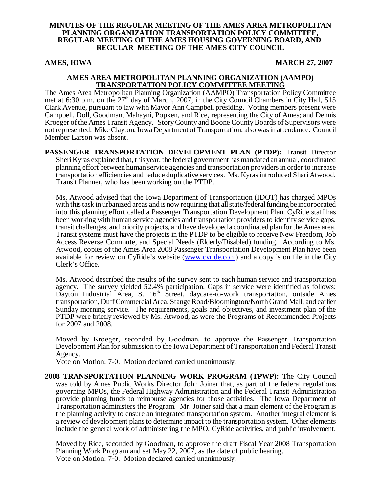#### **MINUTES OF THE REGULAR MEETING OF THE AMES AREA METROPOLITAN PLANNING ORGANIZATION TRANSPORTATION POLICY COMMITTEE, REGULAR MEETING OF THE AMES HOUSING GOVERNING BOARD, AND REGULAR MEETING OF THE AMES CITY COUNCIL**

#### AMES, IOWA 27, 2007

#### **AMES AREA METROPOLITAN PLANNING ORGANIZATION (AAMPO) TRANSPORTATION POLICY COMMITTEE MEETING**

The Ames Area Metropolitan Planning Organization (AAMPO) Transportation Policy Committee met at 6:30 p.m. on the 27<sup>th</sup> day of March, 2007, in the City Council Chambers in City Hall, 515 Clark Avenue, pursuant to law with Mayor Ann Campbell presiding. Voting members present were Campbell, Doll, Goodman, Mahayni, Popken, and Rice, representing the City of Ames; and Dennis Kroeger of the Ames Transit Agency. Story County and Boone County Boards of Supervisors were not represented. Mike Clayton, Iowa Department of Transportation, also was in attendance. Council Member Larson was absent.

**PASSENGER TRANSPORTATION DEVELOPMENT PLAN (PTDP):** Transit Director Sheri Kyras explained that, this year, the federal government has mandated an annual, coordinated planning effort between human service agencies and transportation providers in order to increase transportation efficiencies and reduce duplicative services. Ms. Kyras introduced Shari Atwood, Transit Planner, who has been working on the PTDP.

Ms. Atwood advised that the Iowa Department of Transportation (IDOT) has charged MPOs with this task in urbanized areas and is now requiring that all state/federal funding be incorporated into this planning effort called a Passenger Transportation Development Plan. CyRide staff has been working with human service agencies and transportation providers to identify service gaps, transit challenges, and priority projects, and have developed a coordinated plan for the Ames area. Transit systems must have the projects in the PTDP to be eligible to receive New Freedom, Job Access Reverse Commute, and Special Needs (Elderly/Disabled) funding. According to Ms. Atwood, copies of the Ames Area 2008 Passenger Transportation Development Plan have been available for review on CyRide's website (www.cyride.com) and a copy is on file in the City Clerk's Office.

Ms. Atwood described the results of the survey sent to each human service and transportation agency. The survey yielded 52.4% participation. Gaps in service were identified as follows: Dayton Industrial Area, S. 16<sup>th</sup> Street, daycare-to-work transportation, outside Ames transportation, Duff Commercial Area, Stange Road/Bloomington/North Grand Mall, and earlier Sunday morning service. The requirements, goals and objectives, and investment plan of the PTDP were briefly reviewed by Ms. Atwood, as were the Programs of Recommended Projects for 2007 and 2008.

Moved by Kroeger, seconded by Goodman, to approve the Passenger Transportation Development Plan for submission to the Iowa Department of Transportation and Federal Transit Agency.

Vote on Motion: 7-0. Motion declared carried unanimously.

**2008 TRANSPORTATION PLANNING WORK PROGRAM (TPWP):** The City Council was told by Ames Public Works Director John Joiner that, as part of the federal regulations governing MPOs, the Federal Highway Administration and the Federal Transit Administration provide planning funds to reimburse agencies for those activities. The Iowa Department of Transportation administers the Program. Mr. Joiner said that a main element of the Program is the planning activity to ensure an integrated transportation system. Another integral element is a review of development plans to determine impact to the transportation system. Other elements include the general work of administering the MPO, CyRide activities, and public involvement.

Moved by Rice, seconded by Goodman, to approve the draft Fiscal Year 2008 Transportation Planning Work Program and set May 22, 2007, as the date of public hearing. Vote on Motion: 7-0. Motion declared carried unanimously.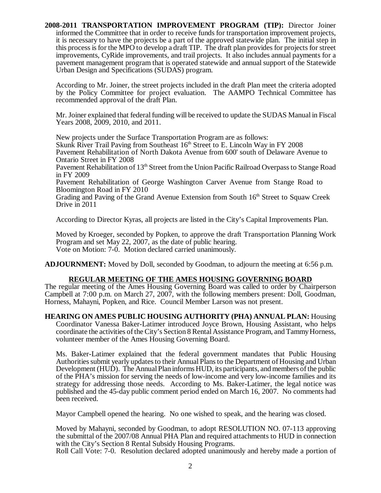**2008-2011 TRANSPORTATION IMPROVEMENT PROGRAM (TIP):** Director Joiner informed the Committee that in order to receive funds for transportation improvement projects, it is necessary to have the projects be a part of the approved statewide plan. The initial step in this process is for the MPO to develop a draft TIP. The draft plan provides for projects for street improvements, CyRide improvements, and trail projects. It also includes annual payments for a pavement management program that is operated statewide and annual support of the Statewide Urban Design and Specifications (SUDAS) program.

According to Mr. Joiner, the street projects included in the draft Plan meet the criteria adopted by the Policy Committee for project evaluation. The AAMPO Technical Committee has recommended approval of the draft Plan.

Mr. Joiner explained that federal funding will be received to update the SUDAS Manual in Fiscal Years 2008, 2009, 2010, and 2011.

New projects under the Surface Transportation Program are as follows: Skunk River Trail Paving from Southeast  $16<sup>th</sup>$  Street to E. Lincoln Way in FY 2008 Pavement Rehabilitation of North Dakota Avenue from 600' south of Delaware Avenue to Ontario Street in FY 2008 Pavement Rehabilitation of 13<sup>th</sup> Street from the Union Pacific Railroad Overpass to Stange Road

in FY 2009

Pavement Rehabilitation of George Washington Carver Avenue from Stange Road to Bloomington Road in FY 2010

Grading and Paving of the Grand Avenue Extension from South 16<sup>th</sup> Street to Squaw Creek Drive in 2011

According to Director Kyras, all projects are listed in the City's Capital Improvements Plan.

Moved by Kroeger, seconded by Popken, to approve the draft Transportation Planning Work Program and set May 22, 2007, as the date of public hearing. Vote on Motion: 7-0. Motion declared carried unanimously.

**ADJOURNMENT:** Moved by Doll, seconded by Goodman, to adjourn the meeting at 6:56 p.m.

## **REGULAR MEETING OF THE AMES HOUSING GOVERNING BOARD**

The regular meeting of the Ames Housing Governing Board was called to order by Chairperson Campbell at 7:00 p.m. on March 27, 2007, with the following members present: Doll, Goodman, Horness, Mahayni, Popken, and Rice. Council Member Larson was not present.

**HEARING ON AMES PUBLIC HOUSING AUTHORITY (PHA) ANNUAL PLAN:** Housing Coordinator Vanessa Baker-Latimer introduced Joyce Brown, Housing Assistant, who helps coordinate the activities of the City's Section 8 Rental Assistance Program, and Tammy Horness, volunteer member of the Ames Housing Governing Board.

Ms. Baker-Latimer explained that the federal government mandates that Public Housing Authorities submit yearly updates to their Annual Plans to the Department of Housing and Urban Development (HUD). The Annual Plan informs HUD, its participants, and members of the public of the PHA's mission for serving the needs of low-income and very low-income families and its strategy for addressing those needs. According to Ms. Baker-Latimer, the legal notice was published and the 45-day public comment period ended on March 16, 2007. No comments had been received.

Mayor Campbell opened the hearing. No one wished to speak, and the hearing was closed.

Moved by Mahayni, seconded by Goodman, to adopt RESOLUTION NO. 07-113 approving the submittal of the 2007/08 Annual PHA Plan and required attachments to HUD in connection with the City's Section 8 Rental Subsidy Housing Programs.

Roll Call Vote: 7-0. Resolution declared adopted unanimously and hereby made a portion of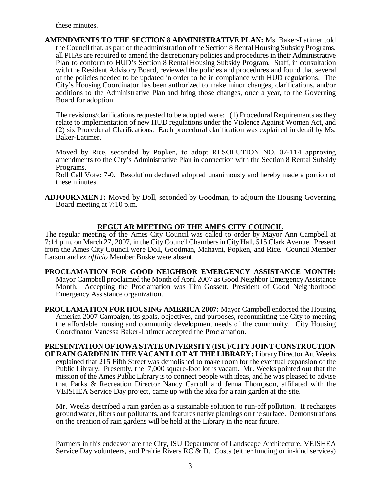these minutes.

**AMENDMENTS TO THE SECTION 8 ADMINISTRATIVE PLAN:** Ms. Baker-Latimer told the Council that, as part of the administration of the Section 8 Rental Housing Subsidy Programs, all PHAs are required to amend the discretionary policies and procedures in their Administrative Plan to conform to HUD's Section 8 Rental Housing Subsidy Program. Staff, in consultation with the Resident Advisory Board, reviewed the policies and procedures and found that several of the policies needed to be updated in order to be in compliance with HUD regulations. The City's Housing Coordinator has been authorized to make minor changes, clarifications, and/or additions to the Administrative Plan and bring those changes, once a year, to the Governing Board for adoption.

The revisions/clarifications requested to be adopted were: (1) Procedural Requirements as they relate to implementation of new HUD regulations under the Violence Against Women Act, and (2) six Procedural Clarifications. Each procedural clarification was explained in detail by Ms. Baker-Latimer.

Moved by Rice, seconded by Popken, to adopt RESOLUTION NO. 07-114 approving amendments to the City's Administrative Plan in connection with the Section 8 Rental Subsidy Programs.

Roll Call Vote: 7-0. Resolution declared adopted unanimously and hereby made a portion of these minutes.

**ADJOURNMENT:** Moved by Doll, seconded by Goodman, to adjourn the Housing Governing Board meeting at 7:10 p.m.

## **REGULAR MEETING OF THE AMES CITY COUNCIL**

The regular meeting of the Ames City Council was called to order by Mayor Ann Campbell at 7:14 p.m. on March 27, 2007, in the City Council Chambers in City Hall, 515 Clark Avenue. Present from the Ames City Council were Doll, Goodman, Mahayni, Popken, and Rice. Council Member Larson and *ex officio* Member Buske were absent.

**PROCLAMATION FOR GOOD NEIGHBOR EMERGENCY ASSISTANCE MONTH:** Mayor Campbell proclaimed the Month of April 2007 as Good Neighbor Emergency Assistance Month. Accepting the Proclamation was Tim Gossett, President of Good Neighborhood Emergency Assistance organization.

**PROCLAMATION FOR HOUSING AMERICA 2007:** Mayor Campbell endorsed the Housing America 2007 Campaign, its goals, objectives, and purposes, recommitting the City to meeting the affordable housing and community development needs of the community. City Housing Coordinator Vanessa Baker-Latimer accepted the Proclamation.

**PRESENTATION OF IOWA STATE UNIVERSITY (ISU)/CITY JOINT CONSTRUCTION OF RAIN GARDEN IN THE VACANT LOT AT THE LIBRARY:** Library Director Art Weeks explained that 215 Fifth Street was demolished to make room for the eventual expansion of the Public Library. Presently, the 7,000 square-foot lot is vacant. Mr. Weeks pointed out that the mission of the Ames Public Library is to connect people with ideas, and he was pleased to advise that Parks & Recreation Director Nancy Carroll and Jenna Thompson, affiliated with the VEISHEA Service Day project, came up with the idea for a rain garden at the site.

Mr. Weeks described a rain garden as a sustainable solution to run-off pollution. It recharges ground water, filters out pollutants, and features native plantings on the surface. Demonstrations on the creation of rain gardens will be held at the Library in the near future.

Partners in this endeavor are the City, ISU Department of Landscape Architecture, VEISHEA Service Day volunteers, and Prairie Rivers RC & D. Costs (either funding or in-kind services)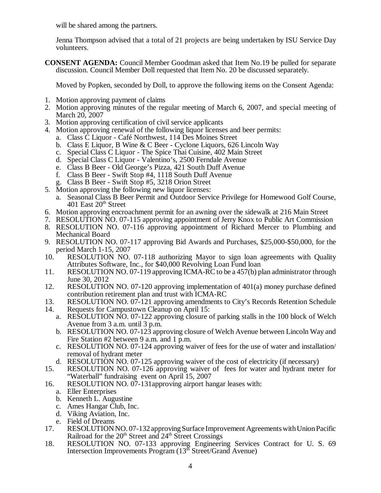will be shared among the partners.

Jenna Thompson advised that a total of 21 projects are being undertaken by ISU Service Day volunteers.

**CONSENT AGENDA:** Council Member Goodman asked that Item No.19 be pulled for separate discussion. Council Member Doll requested that Item No. 20 be discussed separately.

Moved by Popken, seconded by Doll, to approve the following items on the Consent Agenda:

- 1. Motion approving payment of claims
- 2. Motion approving minutes of the regular meeting of March 6, 2007, and special meeting of March 20, 2007
- 3. Motion approving certification of civil service applicants
- 4. Motion approving renewal of the following liquor licenses and beer permits:
	- a. Class C Liquor Café Northwest, 114 Des Moines Street
		- b. Class E Liquor, B Wine & C Beer Cyclone Liquors, 626 Lincoln Way
		- c. Special Class C Liquor The Spice Thai Cuisine, 402 Main Street
		- d. Special Class C Liquor Valentino's, 2500 Ferndale Avenue
		- e. Class B Beer Old George's Pizza, 421 South Duff Avenue
		- f. Class B Beer Swift Stop #4, 1118 South Duff Avenue
		- g. Class B Beer Swift Stop #5, 3218 Orion Street
- 5. Motion approving the following new liquor licenses:
	- a. Seasonal Class B Beer Permit and Outdoor Service Privilege for Homewood Golf Course,  $401$  East  $20<sup>th</sup>$  Street
- 6. Motion approving encroachment permit for an awning over the sidewalk at 216 Main Street
- 7. RESOLUTION NO. 07-115 approving appointment of Jerry Knox to Public Art Commission
- 8. RESOLUTION NO. 07-116 approving appointment of Richard Mercer to Plumbing and Mechanical Board
- 9. RESOLUTION NO. 07-117 approving Bid Awards and Purchases, \$25,000-\$50,000, for the period March 1-15, 2007
- 10. RESOLUTION NO. 07-118 authorizing Mayor to sign loan agreements with Quality Attributes Software, Inc., for \$40,000 Revolving Loan Fund loan
- 11. RESOLUTION NO. 07-119 approving ICMA-RC to be a 457(b) plan administrator through June 30, 2012
- 12. RESOLUTION NO. 07-120 approving implementation of 401(a) money purchase defined contribution retirement plan and trust with ICMA-RC
- 13. RESOLUTION NO. 07-121 approving amendments to City's Records Retention Schedule
- 14. Requests for Campustown Cleanup on April 15:
	- a. RESOLUTION NO. 07-122 approving closure of parking stalls in the 100 block of Welch Avenue from 3 a.m. until 3 p.m.
	- b. RESOLUTION NO. 07-123 approving closure of Welch Avenue between Lincoln Way and Fire Station #2 between 9 a.m. and 1 p.m.
	- c. RESOLUTION NO. 07-124 approving waiver of fees for the use of water and installation/ removal of hydrant meter
	- d. RESOLUTION NO. 07-125 approving waiver of the cost of electricity (if necessary)
- 15. RESOLUTION NO. 07-126 approving waiver of fees for water and hydrant meter for "Waterball" fundraising event on April 15, 2007
- 16. RESOLUTION NO. 07-131approving airport hangar leases with:
	- a. Eller Enterprises
	- b. Kenneth L. Augustine
	- c. Ames Hangar Club, Inc.
	- d. Viking Aviation, Inc.
	- e. Field of Dreams
- 17. RESOLUTION NO. 07-132 approving Surface Improvement Agreements with Union Pacific Railroad for the  $20<sup>th</sup>$  Street and  $24<sup>th</sup>$  Street Crossings
- 18. RESOLUTION NO. 07-133 approving Engineering Services Contract for U. S. 69 Intersection Improvements Program (13<sup>th</sup> Street/Grand Avenue)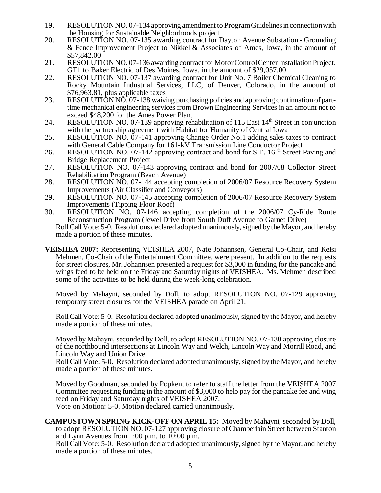- 19. RESOLUTION NO. 07-134 approving amendment to Program Guidelines in connection with the Housing for Sustainable Neighborhoods project
- 20. RESOLUTION NO. 07-135 awarding contract for Dayton Avenue Substation Grounding & Fence Improvement Project to Nikkel & Associates of Ames, Iowa, in the amount of \$57,842.00
- 21. RESOLUTION NO. 07-136 awarding contract for Motor Control Center Installation Project, GT1 to Baker Electric of Des Moines, Iowa, in the amount of \$29,057.00
- 22. RESOLUTION NO. 07-137 awarding contract for Unit No. 7 Boiler Chemical Cleaning to Rocky Mountain Industrial Services, LLC, of Denver, Colorado, in the amount of \$76,963.81, plus applicable taxes
- 23. RESOLUTION NO. 07-138 waiving purchasing policies and approving continuation of parttime mechanical engineering services from Brown Engineering Services in an amount not to exceed \$48,200 for the Ames Power Plant
- 24. RESOLUTION NO. 07-139 approving rehabilitation of 115 East 14<sup>th</sup> Street in conjunction with the partnership agreement with Habitat for Humanity of Central Iowa
- 25. RESOLUTION NO. 07-141 approving Change Order No.1 adding sales taxes to contract with General Cable Company for 161-kV Transmission Line Conductor Project
- 26. RESOLUTION NO. 07-142 approving contract and bond for S.E. 16<sup>th</sup> Street Paving and Bridge Replacement Project
- 27. RESOLUTION NO. 07-143 approving contract and bond for 2007/08 Collector Street Rehabilitation Program (Beach Avenue)
- 28. RESOLUTION NO. 07-144 accepting completion of 2006/07 Resource Recovery System Improvements (Air Classifier and Conveyors)
- 29. RESOLUTION NO. 07-145 accepting completion of 2006/07 Resource Recovery System Improvements (Tipping Floor Roof)
- 30. RESOLUTION NO. 07-146 accepting completion of the 2006/07 Cy-Ride Route Reconstruction Program (Jewel Drive from South Duff Avenue to Garnet Drive) Roll Call Vote: 5-0. Resolutions declared adopted unanimously, signed by the Mayor, and hereby made a portion of these minutes.
- **VEISHEA 2007:** Representing VEISHEA 2007, Nate Johannsen, General Co-Chair, and Kelsi Mehmen, Co-Chair of the Entertainment Committee, were present. In addition to the requests for street closures, Mr. Johannsen presented a request for \$3,000 in funding for the pancake and wings feed to be held on the Friday and Saturday nights of VEISHEA. Ms. Mehmen described some of the activities to be held during the week-long celebration.

Moved by Mahayni, seconded by Doll, to adopt RESOLUTION NO. 07-129 approving temporary street closures for the VEISHEA parade on April 21.

Roll Call Vote: 5-0. Resolution declared adopted unanimously, signed by the Mayor, and hereby made a portion of these minutes.

Moved by Mahayni, seconded by Doll, to adopt RESOLUTION NO. 07-130 approving closure of the northbound intersections at Lincoln Way and Welch, Lincoln Way and Morrill Road, and Lincoln Way and Union Drive.

Roll Call Vote: 5-0. Resolution declared adopted unanimously, signed by the Mayor, and hereby made a portion of these minutes.

Moved by Goodman, seconded by Popken, to refer to staff the letter from the VEISHEA 2007 Committee requesting funding in the amount of \$3,000 to help pay for the pancake fee and wing feed on Friday and Saturday nights of VEISHEA 2007.

Vote on Motion: 5-0. Motion declared carried unanimously.

**CAMPUSTOWN SPRING KICK-OFF ON APRIL 15:** Moved by Mahayni, seconded by Doll, to adopt RESOLUTION NO. 07-127 approving closure of Chamberlain Street between Stanton and Lynn Avenues from 1:00 p.m. to 10:00 p.m.

Roll Call Vote: 5-0. Resolution declared adopted unanimously, signed by the Mayor, and hereby made a portion of these minutes.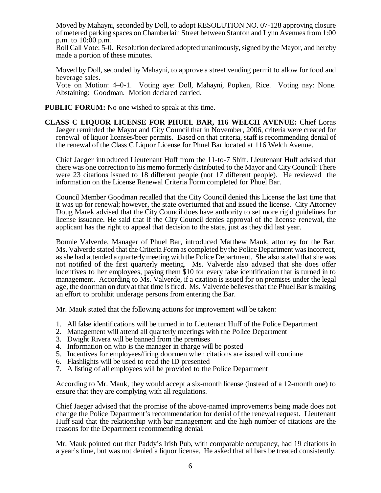Moved by Mahayni, seconded by Doll, to adopt RESOLUTION NO. 07-128 approving closure of metered parking spaces on Chamberlain Street between Stanton and Lynn Avenues from 1:00 p.m. to 10:00 p.m.

Roll Call Vote: 5-0. Resolution declared adopted unanimously, signed by the Mayor, and hereby made a portion of these minutes.

Moved by Doll, seconded by Mahayni, to approve a street vending permit to allow for food and beverage sales.

Vote on Motion: 4–0-1. Voting aye: Doll, Mahayni, Popken, Rice. Voting nay: None. Abstaining: Goodman. Motion declared carried.

- **PUBLIC FORUM:** No one wished to speak at this time.
- **CLASS C LIQUOR LICENSE FOR PHUEL BAR, 116 WELCH AVENUE:** Chief Loras Jaeger reminded the Mayor and City Council that in November, 2006, criteria were created for renewal of liquor licenses/beer permits. Based on that criteria, staff is recommending denial of the renewal of the Class C Liquor License for Phuel Bar located at 116 Welch Avenue.

Chief Jaeger introduced Lieutenant Huff from the 11-to-7 Shift. Lieutenant Huff advised that there was one correction to his memo formerly distributed to the Mayor and City Council: There were 23 citations issued to 18 different people (not 17 different people). He reviewed the information on the License Renewal Criteria Form completed for Phuel Bar.

Council Member Goodman recalled that the City Council denied this License the last time that it was up for renewal; however, the state overturned that and issued the license. City Attorney Doug Marek advised that the City Council does have authority to set more rigid guidelines for license issuance. He said that if the City Council denies approval of the license renewal, the applicant has the right to appeal that decision to the state, just as they did last year.

Bonnie Valverde, Manager of Phuel Bar, introduced Matthew Mauk, attorney for the Bar. Ms. Valverde stated that the Criteria Form as completed by the Police Department was incorrect, as she had attended a quarterly meeting with the Police Department. She also stated that she was not notified of the first quarterly meeting. Ms. Valverde also advised that she does offer incentives to her employees, paying them \$10 for every false identification that is turned in to management. According to Ms. Valverde, if a citation is issued for on premises under the legal age, the doorman on duty at that time is fired. Ms. Valverde believes that the Phuel Bar is making an effort to prohibit underage persons from entering the Bar.

Mr. Mauk stated that the following actions for improvement will be taken:

- 1. All false identifications will be turned in to Lieutenant Huff of the Police Department
- 2. Management will attend all quarterly meetings with the Police Department
- 3. Dwight Rivera will be banned from the premises
- 4. Information on who is the manager in charge will be posted
- 5. Incentives for employees/firing doormen when citations are issued will continue
- 6. Flashlights will be used to read the ID presented
- 7. A listing of all employees will be provided to the Police Department

According to Mr. Mauk, they would accept a six-month license (instead of a 12-month one) to ensure that they are complying with all regulations.

Chief Jaeger advised that the promise of the above-named improvements being made does not change the Police Department's recommendation for denial of the renewal request. Lieutenant Huff said that the relationship with bar management and the high number of citations are the reasons for the Department recommending denial.

Mr. Mauk pointed out that Paddy's Irish Pub, with comparable occupancy, had 19 citations in a year's time, but was not denied a liquor license. He asked that all bars be treated consistently.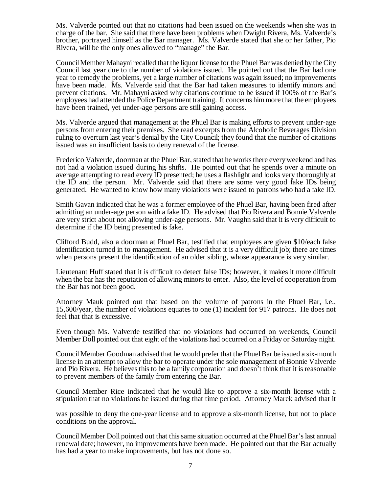Ms. Valverde pointed out that no citations had been issued on the weekends when she was in charge of the bar. She said that there have been problems when Dwight Rivera, Ms. Valverde's brother, portrayed himself as the Bar manager. Ms. Valverde stated that she or her father, Pio Rivera, will be the only ones allowed to "manage" the Bar.

Council Member Mahayni recalled that the liquor license for the Phuel Bar was denied by the City Council last year due to the number of violations issued. He pointed out that the Bar had one year to remedy the problems, yet a large number of citations was again issued; no improvements have been made. Ms. Valverde said that the Bar had taken measures to identify minors and prevent citations. Mr. Mahayni asked why citations continue to be issued if 100% of the Bar's employees had attended the Police Department training. It concerns him more that the employees have been trained, yet under-age persons are still gaining access.

Ms. Valverde argued that management at the Phuel Bar is making efforts to prevent under-age persons from entering their premises. She read excerpts from the Alcoholic Beverages Division ruling to overturn last year's denial by the City Council; they found that the number of citations issued was an insufficient basis to deny renewal of the license.

Frederico Valverde, doorman at the Phuel Bar, stated that he works there every weekend and has not had a violation issued during his shifts. He pointed out that he spends over a minute on average attempting to read every ID presented; he uses a flashlight and looks very thoroughly at the ID and the person. Mr. Valverde said that there are some very good fake IDs being generated. He wanted to know how many violations were issued to patrons who had a fake ID.

Smith Gavan indicated that he was a former employee of the Phuel Bar, having been fired after admitting an under-age person with a fake ID. He advised that Pio Rivera and Bonnie Valverde are very strict about not allowing under-age persons. Mr. Vaughn said that it is very difficult to determine if the ID being presented is fake.

Clifford Budd, also a doorman at Phuel Bar, testified that employees are given \$10/each false identification turned in to management. He advised that it is a very difficult job; there are times when persons present the identification of an older sibling, whose appearance is very similar.

Lieutenant Huff stated that it is difficult to detect false IDs; however, it makes it more difficult when the bar has the reputation of allowing minors to enter. Also, the level of cooperation from the Bar has not been good.

Attorney Mauk pointed out that based on the volume of patrons in the Phuel Bar, i.e., 15,600/year, the number of violations equates to one (1) incident for 917 patrons. He does not feel that that is excessive.

Even though Ms. Valverde testified that no violations had occurred on weekends, Council Member Doll pointed out that eight of the violations had occurred on a Friday or Saturday night.

Council Member Goodman advised that he would prefer that the Phuel Bar be issued a six-month license in an attempt to allow the bar to operate under the sole management of Bonnie Valverde and Pio Rivera. He believes this to be a family corporation and doesn't think that it is reasonable to prevent members of the family from entering the Bar.

Council Member Rice indicated that he would like to approve a six-month license with a stipulation that no violations be issued during that time period. Attorney Marek advised that it

was possible to deny the one-year license and to approve a six-month license, but not to place conditions on the approval.

Council Member Doll pointed out that this same situation occurred at the Phuel Bar's last annual renewal date; however, no improvements have been made. He pointed out that the Bar actually has had a year to make improvements, but has not done so.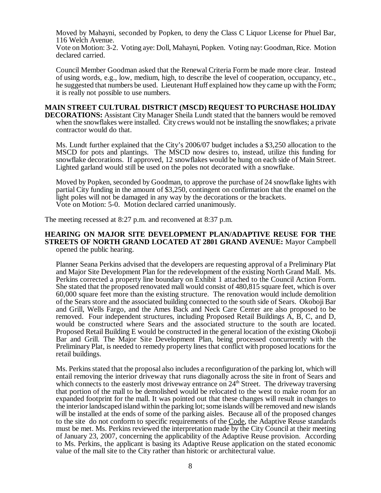Moved by Mahayni, seconded by Popken, to deny the Class C Liquor License for Phuel Bar, 116 Welch Avenue.

Vote on Motion: 3-2. Voting aye: Doll, Mahayni, Popken. Voting nay: Goodman, Rice. Motion declared carried.

Council Member Goodman asked that the Renewal Criteria Form be made more clear. Instead of using words, e.g., low, medium, high, to describe the level of cooperation, occupancy, etc., he suggested that numbers be used. Lieutenant Huff explained how they came up with the Form; it is really not possible to use numbers.

### **MAIN STREET CULTURAL DISTRICT (MSCD) REQUEST TO PURCHASE HOLIDAY**

**DECORATIONS:** Assistant City Manager Sheila Lundt stated that the banners would be removed when the snowflakes were installed. City crews would not be installing the snowflakes; a private contractor would do that.

Ms. Lundt further explained that the City's 2006/07 budget includes a \$3,250 allocation to the MSCD for pots and plantings. The MSCD now desires to, instead, utilize this funding for snowflake decorations. If approved, 12 snowflakes would be hung on each side of Main Street. Lighted garland would still be used on the poles not decorated with a snowflake.

Moved by Popken, seconded by Goodman, to approve the purchase of 24 snowflake lights with partial City funding in the amount of \$3,250, contingent on confirmation that the enamel on the light poles will not be damaged in any way by the decorations or the brackets. Vote on Motion: 5-0. Motion declared carried unanimously.

The meeting recessed at 8:27 p.m. and reconvened at 8:37 p.m.

#### **HEARING ON MAJOR SITE DEVELOPMENT PLAN/ADAPTIVE REUSE FOR THE STREETS OF NORTH GRAND LOCATED AT 2801 GRAND AVENUE:** Mayor Campbell opened the public hearing.

Planner Seana Perkins advised that the developers are requesting approval of a Preliminary Plat and Major Site Development Plan for the redevelopment of the existing North Grand Mall. Ms. Perkins corrected a property line boundary on Exhibit 1 attached to the Council Action Form. She stated that the proposed renovated mall would consist of 480,815 square feet, which is over 60,000 square feet more than the existing structure. The renovation would include demolition of the Sears store and the associated building connected to the south side of Sears. Okoboji Bar and Grill, Wells Fargo, and the Ames Back and Neck Care Center are also proposed to be removed. Four independent structures, including Proposed Retail Buildings A, B, C, and D, would be constructed where Sears and the associated structure to the south are located. Proposed Retail Building E would be constructed in the general location of the existing Okoboji Bar and Grill. The Major Site Development Plan, being processed concurrently with the Preliminary Plat, is needed to remedy property lines that conflict with proposed locations for the retail buildings.

Ms. Perkins stated that the proposal also includes a reconfiguration of the parking lot, which will entail removing the interior driveway that runs diagonally across the site in front of Sears and which connects to the easterly most driveway entrance on  $24<sup>th</sup>$  Street. The driveway traversing that portion of the mall to be demolished would be relocated to the west to make room for an expanded footprint for the mall. It was pointed out that these changes will result in changes to the interior landscaped island within the parking lot; some islands will be removed and new islands will be installed at the ends of some of the parking aisles. Because all of the proposed changes to the site do not conform to specific requirements of the Code, the Adaptive Reuse standards must be met. Ms. Perkins reviewed the interpretation made by the City Council at their meeting of January 23, 2007, concerning the applicability of the Adaptive Reuse provision. According to Ms. Perkins, the applicant is basing its Adaptive Reuse application on the stated economic value of the mall site to the City rather than historic or architectural value.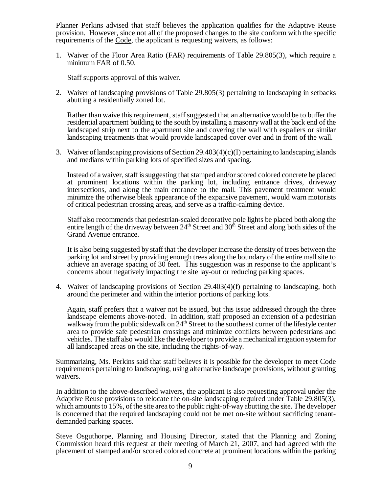Planner Perkins advised that staff believes the application qualifies for the Adaptive Reuse provision. However, since not all of the proposed changes to the site conform with the specific requirements of the Code, the applicant is requesting waivers, as follows:

1. Waiver of the Floor Area Ratio (FAR) requirements of Table 29.805(3), which require a minimum FAR of 0.50.

Staff supports approval of this waiver.

2. Waiver of landscaping provisions of Table 29.805(3) pertaining to landscaping in setbacks abutting a residentially zoned lot.

Rather than waive this requirement, staff suggested that an alternative would be to buffer the residential apartment building to the south by installing a masonry wall at the back end of the landscaped strip next to the apartment site and covering the wall with espaliers or similar landscaping treatments that would provide landscaped cover over and in front of the wall.

3. Waiver of landscaping provisions of Section 29.403(4)(c)(I) pertaining to landscaping islands and medians within parking lots of specified sizes and spacing.

Instead of a waiver, staff is suggesting that stamped and/or scored colored concrete be placed at prominent locations within the parking lot, including entrance drives, driveway intersections, and along the main entrance to the mall. This pavement treatment would minimize the otherwise bleak appearance of the expansive pavement, would warn motorists of critical pedestrian crossing areas, and serve as a traffic-calming device.

Staff also recommends that pedestrian-scaled decorative pole lights be placed both along the entire length of the driveway between 24<sup>th</sup> Street and 30<sup>th</sup> Street and along both sides of the Grand Avenue entrance.

It is also being suggested by staff that the developer increase the density of trees between the parking lot and street by providing enough trees along the boundary of the entire mall site to achieve an average spacing of 30 feet. This suggestion was in response to the applicant's concerns about negatively impacting the site lay-out or reducing parking spaces.

4. Waiver of landscaping provisions of Section 29.403(4)(f) pertaining to landscaping, both around the perimeter and within the interior portions of parking lots.

Again, staff prefers that a waiver not be issued, but this issue addressed through the three landscape elements above-noted. In addition, staff proposed an extension of a pedestrian walkway from the public sidewalk on  $24<sup>th</sup>$  Street to the southeast corner of the lifestyle center area to provide safe pedestrian crossings and minimize conflicts between pedestrians and vehicles. The staff also would like the developer to provide a mechanical irrigation system for all landscaped areas on the site, including the rights-of-way.

Summarizing, Ms. Perkins said that staff believes it is possible for the developer to meet Code requirements pertaining to landscaping, using alternative landscape provisions, without granting waivers.

In addition to the above-described waivers, the applicant is also requesting approval under the Adaptive Reuse provisions to relocate the on-site landscaping required under Table 29.805(3), which amounts to 15%, of the site area to the public right-of-way abutting the site. The developer is concerned that the required landscaping could not be met on-site without sacrificing tenantdemanded parking spaces.

Steve Osguthorpe, Planning and Housing Director, stated that the Planning and Zoning Commission heard this request at their meeting of March 21, 2007, and had agreed with the placement of stamped and/or scored colored concrete at prominent locations within the parking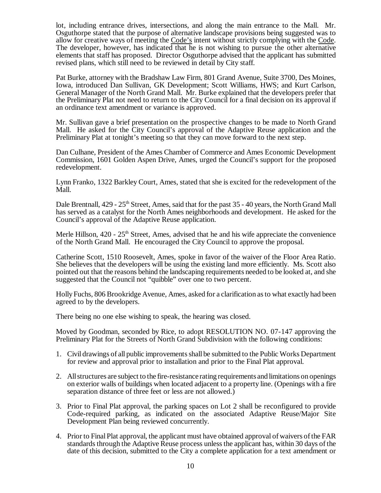lot, including entrance drives, intersections, and along the main entrance to the Mall. Mr. Osguthorpe stated that the purpose of alternative landscape provisions being suggested was to allow for creative ways of meeting the Code's intent without strictly complying with the Code. The developer, however, has indicated that he is not wishing to pursue the other alternative elements that staff has proposed. Director Osguthorpe advised that the applicant has submitted revised plans, which still need to be reviewed in detail by City staff.

Pat Burke, attorney with the Bradshaw Law Firm, 801 Grand Avenue, Suite 3700, Des Moines, Iowa, introduced Dan Sullivan, GK Development; Scott Williams, HWS; and Kurt Carlson, General Manager of the North Grand Mall. Mr. Burke explained that the developers prefer that the Preliminary Plat not need to return to the City Council for a final decision on its approval if an ordinance text amendment or variance is approved.

Mr. Sullivan gave a brief presentation on the prospective changes to be made to North Grand Mall. He asked for the City Council's approval of the Adaptive Reuse application and the Preliminary Plat at tonight's meeting so that they can move forward to the next step.

Dan Culhane, President of the Ames Chamber of Commerce and Ames Economic Development Commission, 1601 Golden Aspen Drive, Ames, urged the Council's support for the proposed redevelopment.

Lynn Franko, 1322 Barkley Court, Ames, stated that she is excited for the redevelopment of the Mall.

Dale Brentnall, 429 - 25<sup>th</sup> Street, Ames, said that for the past 35 - 40 years, the North Grand Mall has served as a catalyst for the North Ames neighborhoods and development. He asked for the Council's approval of the Adaptive Reuse application.

Merle Hillson,  $420 - 25$ <sup>th</sup> Street, Ames, advised that he and his wife appreciate the convenience of the North Grand Mall. He encouraged the City Council to approve the proposal.

Catherine Scott, 1510 Roosevelt, Ames, spoke in favor of the waiver of the Floor Area Ratio. She believes that the developers will be using the existing land more efficiently. Ms. Scott also pointed out that the reasons behind the landscaping requirements needed to be looked at, and she suggested that the Council not "quibble" over one to two percent.

Holly Fuchs, 806 Brookridge Avenue, Ames, asked for a clarification as to what exactly had been agreed to by the developers.

There being no one else wishing to speak, the hearing was closed.

Moved by Goodman, seconded by Rice, to adopt RESOLUTION NO. 07-147 approving the Preliminary Plat for the Streets of North Grand Subdivision with the following conditions:

- 1. Civil drawings of all public improvements shall be submitted to the Public Works Department for review and approval prior to installation and prior to the Final Plat approval.
- 2. All structures are subject to the fire-resistance rating requirements and limitations on openings on exterior walls of buildings when located adjacent to a property line. (Openings with a fire separation distance of three feet or less are not allowed.)
- 3. Prior to Final Plat approval, the parking spaces on Lot 2 shall be reconfigured to provide Code-required parking, as indicated on the associated Adaptive Reuse/Major Site Development Plan being reviewed concurrently.
- 4. Prior to Final Plat approval, the applicant must have obtained approval of waivers of the FAR standards through the Adaptive Reuse process unless the applicant has, within 30 days of the date of this decision, submitted to the City a complete application for a text amendment or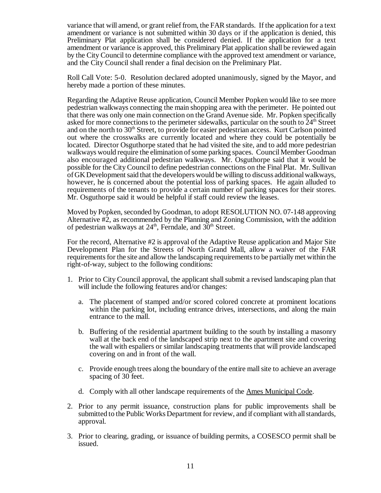variance that will amend, or grant relief from, the FAR standards. If the application for a text amendment or variance is not submitted within 30 days or if the application is denied, this Preliminary Plat application shall be considered denied. If the application for a text amendment or variance is approved, this Preliminary Plat application shall be reviewed again by the City Council to determine compliance with the approved text amendment or variance, and the City Council shall render a final decision on the Preliminary Plat.

Roll Call Vote: 5-0. Resolution declared adopted unanimously, signed by the Mayor, and hereby made a portion of these minutes.

Regarding the Adaptive Reuse application, Council Member Popken would like to see more pedestrian walkways connecting the main shopping area with the perimeter. He pointed out that there was only one main connection on the Grand Avenue side. Mr. Popken specifically asked for more connections to the perimeter sidewalks, particular on the south to  $24<sup>th</sup>$  Street and on the north to  $30<sup>th</sup>$  Street, to provide for easier pedestrian access. Kurt Carlson pointed out where the crosswalks are currently located and where they could be potentially be located. Director Osguthorpe stated that he had visited the site, and to add more pedestrian walkways would require the elimination of some parking spaces. Council Member Goodman also encouraged additional pedestrian walkways. Mr. Osguthorpe said that it would be possible for the City Council to define pedestrian connections on the Final Plat. Mr. Sullivan of GK Development said that the developers would be willing to discuss additional walkways, however, he is concerned about the potential loss of parking spaces. He again alluded to requirements of the tenants to provide a certain number of parking spaces for their stores. Mr. Osguthorpe said it would be helpful if staff could review the leases.

Moved by Popken, seconded by Goodman, to adopt RESOLUTION NO. 07-148 approving Alternative #2, as recommended by the Planning and Zoning Commission, with the addition of pedestrian walkways at  $24<sup>th</sup>$ , Ferndale, and  $30<sup>th</sup>$  Street.

For the record, Alternative #2 is approval of the Adaptive Reuse application and Major Site Development Plan for the Streets of North Grand Mall, allow a waiver of the FAR requirements for the site and allow the landscaping requirements to be partially met within the right-of-way, subject to the following conditions:

- 1. Prior to City Council approval, the applicant shall submit a revised landscaping plan that will include the following features and/or changes:
	- a. The placement of stamped and/or scored colored concrete at prominent locations within the parking lot, including entrance drives, intersections, and along the main entrance to the mall.
	- b. Buffering of the residential apartment building to the south by installing a masonry wall at the back end of the landscaped strip next to the apartment site and covering the wall with espaliers or similar landscaping treatments that will provide landscaped covering on and in front of the wall.
	- c. Provide enough trees along the boundary of the entire mall site to achieve an average spacing of 30 feet.
	- d. Comply with all other landscape requirements of the Ames Municipal Code.
- 2. Prior to any permit issuance, construction plans for public improvements shall be submitted to the Public Works Department for review, and if compliant with all standards, approval.
- 3. Prior to clearing, grading, or issuance of building permits, a COSESCO permit shall be issued.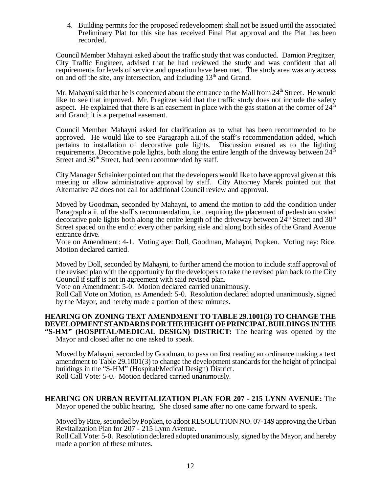4. Building permits for the proposed redevelopment shall not be issued until the associated Preliminary Plat for this site has received Final Plat approval and the Plat has been recorded.

Council Member Mahayni asked about the traffic study that was conducted. Damion Pregitzer, City Traffic Engineer, advised that he had reviewed the study and was confident that all requirements for levels of service and operation have been met. The study area was any access on and off the site, any intersection, and including  $13<sup>th</sup>$  and Grand.

Mr. Mahayni said that he is concerned about the entrance to the Mall from  $24<sup>th</sup>$  Street. He would like to see that improved. Mr. Pregitzer said that the traffic study does not include the safety aspect. He explained that there is an easement in place with the gas station at the corner of 24<sup>th</sup> and Grand; it is a perpetual easement.

Council Member Mahayni asked for clarification as to what has been recommended to be approved. He would like to see Paragraph a.ii.of the staff's recommendation added, which pertains to installation of decorative pole lights. Discussion ensued as to the lighting requirements. Decorative pole lights, both along the entire length of the driveway between  $24<sup>th</sup>$ Street and  $30<sup>th</sup>$  Street, had been recommended by staff.

City Manager Schainker pointed out that the developers would like to have approval given at this meeting or allow administrative approval by staff. City Attorney Marek pointed out that Alternative #2 does not call for additional Council review and approval.

Moved by Goodman, seconded by Mahayni, to amend the motion to add the condition under Paragraph a.ii. of the staff's recommendation, i.e., requiring the placement of pedestrian scaled decorative pole lights both along the entire length of the driveway between  $24<sup>th</sup>$  Street and  $30<sup>th</sup>$ Street spaced on the end of every other parking aisle and along both sides of the Grand Avenue entrance drive.

Vote on Amendment: 4-1. Voting aye: Doll, Goodman, Mahayni, Popken. Voting nay: Rice. Motion declared carried.

Moved by Doll, seconded by Mahayni, to further amend the motion to include staff approval of the revised plan with the opportunity for the developers to take the revised plan back to the City Council if staff is not in agreement with said revised plan.

Vote on Amendment: 5-0. Motion declared carried unanimously.

Roll Call Vote on Motion, as Amended: 5-0. Resolution declared adopted unanimously, signed by the Mayor, and hereby made a portion of these minutes.

# **HEARING ON ZONING TEXT AMENDMENT TO TABLE 29.1001(3) TO CHANGE THE DEVELOPMENT STANDARDS FOR THE HEIGHT OF PRINCIPAL BUILDINGS IN THE "S-HM" (HOSPITAL/MEDICAL DESIGN) DISTRICT:** The hearing was opened by the

Mayor and closed after no one asked to speak.

Moved by Mahayni, seconded by Goodman, to pass on first reading an ordinance making a text amendment to Table 29.1001(3) to change the development standards for the height of principal buildings in the "S-HM" (Hospital/Medical Design) District. Roll Call Vote: 5-0. Motion declared carried unanimously.

### **HEARING ON URBAN REVITALIZATION PLAN FOR 207 - 215 LYNN AVENUE:** The Mayor opened the public hearing. She closed same after no one came forward to speak.

Moved by Rice, seconded by Popken, to adopt RESOLUTION NO. 07-149 approving the Urban Revitalization Plan for 207 - 215 Lynn Avenue.

Roll Call Vote: 5-0. Resolution declared adopted unanimously, signed by the Mayor, and hereby made a portion of these minutes.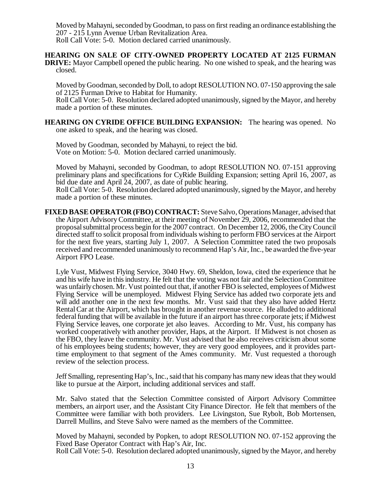Moved by Mahayni, seconded by Goodman, to pass on first reading an ordinance establishing the 207 - 215 Lynn Avenue Urban Revitalization Area. Roll Call Vote: 5-0. Motion declared carried unanimously.

**HEARING ON SALE OF CITY-OWNED PROPERTY LOCATED AT 2125 FURMAN**

**DRIVE:** Mayor Campbell opened the public hearing. No one wished to speak, and the hearing was closed.

Moved by Goodman, seconded by Doll, to adopt RESOLUTION NO. 07-150 approving the sale of 2125 Furman Drive to Habitat for Humanity.

Roll Call Vote: 5-0. Resolution declared adopted unanimously, signed by the Mayor, and hereby made a portion of these minutes.

**HEARING ON CYRIDE OFFICE BUILDING EXPANSION:** The hearing was opened. No one asked to speak, and the hearing was closed.

Moved by Goodman, seconded by Mahayni, to reject the bid. Vote on Motion: 5-0. Motion declared carried unanimously.

Moved by Mahayni, seconded by Goodman, to adopt RESOLUTION NO. 07-151 approving preliminary plans and specifications for CyRide Building Expansion; setting April 16, 2007, as bid due date and April 24, 2007, as date of public hearing.

Roll Call Vote: 5-0. Resolution declared adopted unanimously, signed by the Mayor, and hereby made a portion of these minutes.

**FIXED BASE OPERATOR (FBO) CONTRACT:** Steve Salvo, Operations Manager, advised that the Airport Advisory Committee, at their meeting of November 29, 2006, recommended that the proposal submittal process begin for the 2007 contract. On December 12, 2006, the City Council directed staff to solicit proposal from individuals wishing to perform FBO services at the Airport for the next five years, starting July 1, 2007. A Selection Committee rated the two proposals received and recommended unanimously to recommend Hap's Air, Inc., be awarded the five-year Airport FPO Lease.

Lyle Vust, Midwest Flying Service, 3040 Hwy. 69, Sheldon, Iowa, cited the experience that he and his wife have in this industry. He felt that the voting was not fair and the Selection Committee was unfairly chosen. Mr. Vust pointed out that, if another FBO is selected, employees of Midwest Flying Service will be unemployed. Midwest Flying Service has added two corporate jets and will add another one in the next few months. Mr. Vust said that they also have added Hertz Rental Car at the Airport, which has brought in another revenue source. He alluded to additional federal funding that will be available in the future if an airport has three corporate jets; if Midwest Flying Service leaves, one corporate jet also leaves. According to Mr. Vust, his company has worked cooperatively with another provider, Haps, at the Airport. If Midwest is not chosen as the FBO, they leave the community. Mr. Vust advised that he also receives criticism about some of his employees being students; however, they are very good employees, and it provides parttime employment to that segment of the Ames community. Mr. Vust requested a thorough review of the selection process.

Jeff Smalling, representing Hap's, Inc., said that his company has many new ideas that they would like to pursue at the Airport, including additional services and staff.

Mr. Salvo stated that the Selection Committee consisted of Airport Advisory Committee members, an airport user, and the Assistant City Finance Director. He felt that members of the Committee were familiar with both providers. Lee Livingston, Sue Rybolt, Bob Mortensen, Darrell Mullins, and Steve Salvo were named as the members of the Committee.

Moved by Mahayni, seconded by Popken, to adopt RESOLUTION NO. 07-152 approving the Fixed Base Operator Contract with Hap's Air, Inc.

Roll Call Vote: 5-0. Resolution declared adopted unanimously, signed by the Mayor, and hereby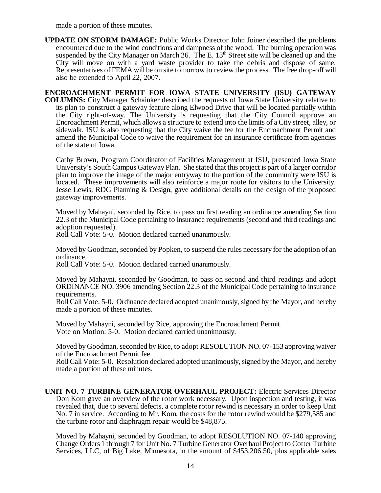made a portion of these minutes.

**UPDATE ON STORM DAMAGE:** Public Works Director John Joiner described the problems encountered due to the wind conditions and dampness of the wood. The burning operation was suspended by the City Manager on March 26. The E.  $13<sup>th</sup>$  Street site will be cleaned up and the City will move on with a yard waste provider to take the debris and dispose of same. Representatives of FEMA will be on site tomorrow to review the process. The free drop-off will also be extended to April 22, 2007.

**ENCROACHMENT PERMIT FOR IOWA STATE UNIVERSITY (ISU) GATEWAY COLUMNS:** City Manager Schainker described the requests of Iowa State University relative to its plan to construct a gateway feature along Elwood Drive that will be located partially within the City right-of-way. The University is requesting that the City Council approve an Encroachment Permit, which allows a structure to extend into the limits of a City street, alley, or sidewalk. ISU is also requesting that the City waive the fee for the Encroachment Permit and amend the Municipal Code to waive the requirement for an insurance certificate from agencies of the state of Iowa.

Cathy Brown, Program Coordinator of Facilities Management at ISU, presented Iowa State University's South Campus Gateway Plan. She stated that this project is part of a larger corridor plan to improve the image of the major entryway to the portion of the community were ISU is located. These improvements will also reinforce a major route for visitors to the University. Jesse Lewis, RDG Planning & Design, gave additional details on the design of the proposed gateway improvements.

Moved by Mahayni, seconded by Rice, to pass on first reading an ordinance amending Section 22.3 of the Municipal Code pertaining to insurance requirements (second and third readings and adoption requested).

Roll Call Vote: 5-0. Motion declared carried unanimously.

Moved by Goodman, seconded by Popken, to suspend the rules necessary for the adoption of an ordinance.

Roll Call Vote: 5-0. Motion declared carried unanimously.

Moved by Mahayni, seconded by Goodman, to pass on second and third readings and adopt ORDINANCE NO. 3906 amending Section 22.3 of the Municipal Code pertaining to insurance requirements.

Roll Call Vote: 5-0. Ordinance declared adopted unanimously, signed by the Mayor, and hereby made a portion of these minutes.

Moved by Mahayni, seconded by Rice, approving the Encroachment Permit. Vote on Motion: 5-0. Motion declared carried unanimously.

Moved by Goodman, seconded by Rice, to adopt RESOLUTION NO. 07-153 approving waiver of the Encroachment Permit fee.

Roll Call Vote: 5-0. Resolution declared adopted unanimously, signed by the Mayor, and hereby made a portion of these minutes.

**UNIT NO. 7 TURBINE GENERATOR OVERHAUL PROJECT:** Electric Services Director Don Kom gave an overview of the rotor work necessary. Upon inspection and testing, it was revealed that, due to several defects, a complete rotor rewind is necessary in order to keep Unit No. 7 in service. According to Mr. Kom, the costs for the rotor rewind would be \$279,585 and the turbine rotor and diaphragm repair would be \$48,875.

Moved by Mahayni, seconded by Goodman, to adopt RESOLUTION NO. 07-140 approving Change Orders 1 through 7 for Unit No. 7 Turbine Generator Overhaul Project to Cotter Turbine Services, LLC, of Big Lake, Minnesota, in the amount of \$453,206.50, plus applicable sales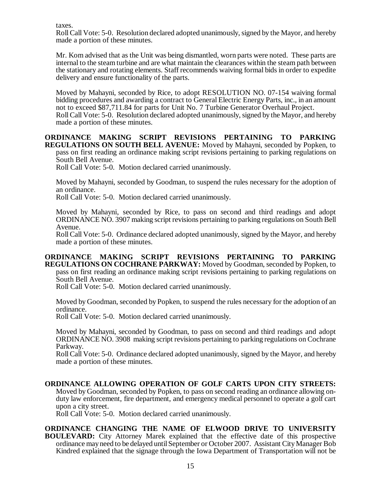taxes.

Roll Call Vote: 5-0. Resolution declared adopted unanimously, signed by the Mayor, and hereby made a portion of these minutes.

Mr. Kom advised that as the Unit was being dismantled, worn parts were noted. These parts are internal to the steam turbine and are what maintain the clearances within the steam path between the stationary and rotating elements. Staff recommends waiving formal bids in order to expedite delivery and ensure functionality of the parts.

Moved by Mahayni, seconded by Rice, to adopt RESOLUTION NO. 07-154 waiving formal bidding procedures and awarding a contract to General Electric Energy Parts, inc., in an amount not to exceed \$87,711.84 for parts for Unit No. 7 Turbine Generator Overhaul Project. Roll Call Vote: 5-0. Resolution declared adopted unanimously, signed by the Mayor, and hereby made a portion of these minutes.

**ORDINANCE MAKING SCRIPT REVISIONS PERTAINING TO PARKING REGULATIONS ON SOUTH BELL AVENUE:** Moved by Mahayni, seconded by Popken, to pass on first reading an ordinance making script revisions pertaining to parking regulations on South Bell Avenue.

Roll Call Vote: 5-0. Motion declared carried unanimously.

Moved by Mahayni, seconded by Goodman, to suspend the rules necessary for the adoption of an ordinance.

Roll Call Vote: 5-0. Motion declared carried unanimously.

Moved by Mahayni, seconded by Rice, to pass on second and third readings and adopt ORDINANCE NO. 3907 making script revisions pertaining to parking regulations on South Bell Avenue.

Roll Call Vote: 5-0. Ordinance declared adopted unanimously, signed by the Mayor, and hereby made a portion of these minutes.

#### **ORDINANCE MAKING SCRIPT REVISIONS PERTAINING TO PARKING REGULATIONS ON COCHRANE PARKWAY:** Moved by Goodman, seconded by Popken, to pass on first reading an ordinance making script revisions pertaining to parking regulations on South Bell Avenue.

Roll Call Vote: 5-0. Motion declared carried unanimously.

Moved by Goodman, seconded by Popken, to suspend the rules necessary for the adoption of an ordinance.

Roll Call Vote: 5-0. Motion declared carried unanimously.

Moved by Mahayni, seconded by Goodman, to pass on second and third readings and adopt ORDINANCE NO. 3908 making script revisions pertaining to parking regulations on Cochrane Parkway.

Roll Call Vote: 5-0. Ordinance declared adopted unanimously, signed by the Mayor, and hereby made a portion of these minutes.

# **ORDINANCE ALLOWING OPERATION OF GOLF CARTS UPON CITY STREETS:** Moved by Goodman, seconded by Popken, to pass on second reading an ordinance allowing onduty law enforcement, fire department, and emergency medical personnel to operate a golf cart upon a city street.

Roll Call Vote: 5-0. Motion declared carried unanimously.

# **ORDINANCE CHANGING THE NAME OF ELWOOD DRIVE TO UNIVERSITY**

**BOULEVARD:** City Attorney Marek explained that the effective date of this prospective ordinance may need to be delayed until September or October 2007. Assistant City Manager Bob Kindred explained that the signage through the Iowa Department of Transportation will not be